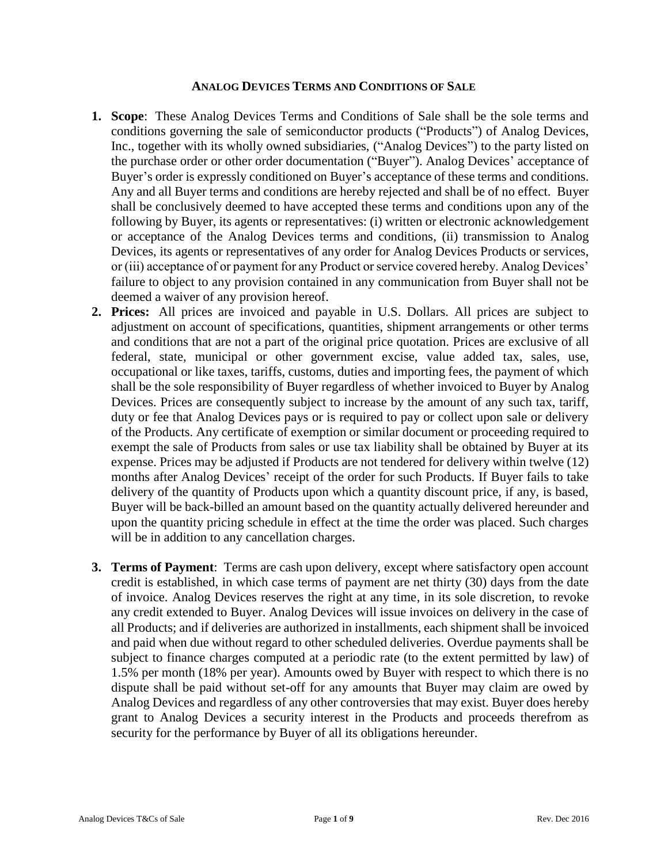## **ANALOG DEVICES TERMS AND CONDITIONS OF SALE**

- **1. Scope**: These Analog Devices Terms and Conditions of Sale shall be the sole terms and conditions governing the sale of semiconductor products ("Products") of Analog Devices, Inc., together with its wholly owned subsidiaries, ("Analog Devices") to the party listed on the purchase order or other order documentation ("Buyer"). Analog Devices' acceptance of Buyer's order is expressly conditioned on Buyer's acceptance of these terms and conditions. Any and all Buyer terms and conditions are hereby rejected and shall be of no effect. Buyer shall be conclusively deemed to have accepted these terms and conditions upon any of the following by Buyer, its agents or representatives: (i) written or electronic acknowledgement or acceptance of the Analog Devices terms and conditions, (ii) transmission to Analog Devices, its agents or representatives of any order for Analog Devices Products or services, or (iii) acceptance of or payment for any Product or service covered hereby. Analog Devices' failure to object to any provision contained in any communication from Buyer shall not be deemed a waiver of any provision hereof.
- **2. Prices:** All prices are invoiced and payable in U.S. Dollars. All prices are subject to adjustment on account of specifications, quantities, shipment arrangements or other terms and conditions that are not a part of the original price quotation. Prices are exclusive of all federal, state, municipal or other government excise, value added tax, sales, use, occupational or like taxes, tariffs, customs, duties and importing fees, the payment of which shall be the sole responsibility of Buyer regardless of whether invoiced to Buyer by Analog Devices. Prices are consequently subject to increase by the amount of any such tax, tariff, duty or fee that Analog Devices pays or is required to pay or collect upon sale or delivery of the Products. Any certificate of exemption or similar document or proceeding required to exempt the sale of Products from sales or use tax liability shall be obtained by Buyer at its expense. Prices may be adjusted if Products are not tendered for delivery within twelve (12) months after Analog Devices' receipt of the order for such Products. If Buyer fails to take delivery of the quantity of Products upon which a quantity discount price, if any, is based, Buyer will be back-billed an amount based on the quantity actually delivered hereunder and upon the quantity pricing schedule in effect at the time the order was placed. Such charges will be in addition to any cancellation charges.
- **3. Terms of Payment**: Terms are cash upon delivery, except where satisfactory open account credit is established, in which case terms of payment are net thirty (30) days from the date of invoice. Analog Devices reserves the right at any time, in its sole discretion, to revoke any credit extended to Buyer. Analog Devices will issue invoices on delivery in the case of all Products; and if deliveries are authorized in installments, each shipment shall be invoiced and paid when due without regard to other scheduled deliveries. Overdue payments shall be subject to finance charges computed at a periodic rate (to the extent permitted by law) of 1.5% per month (18% per year). Amounts owed by Buyer with respect to which there is no dispute shall be paid without set-off for any amounts that Buyer may claim are owed by Analog Devices and regardless of any other controversies that may exist. Buyer does hereby grant to Analog Devices a security interest in the Products and proceeds therefrom as security for the performance by Buyer of all its obligations hereunder.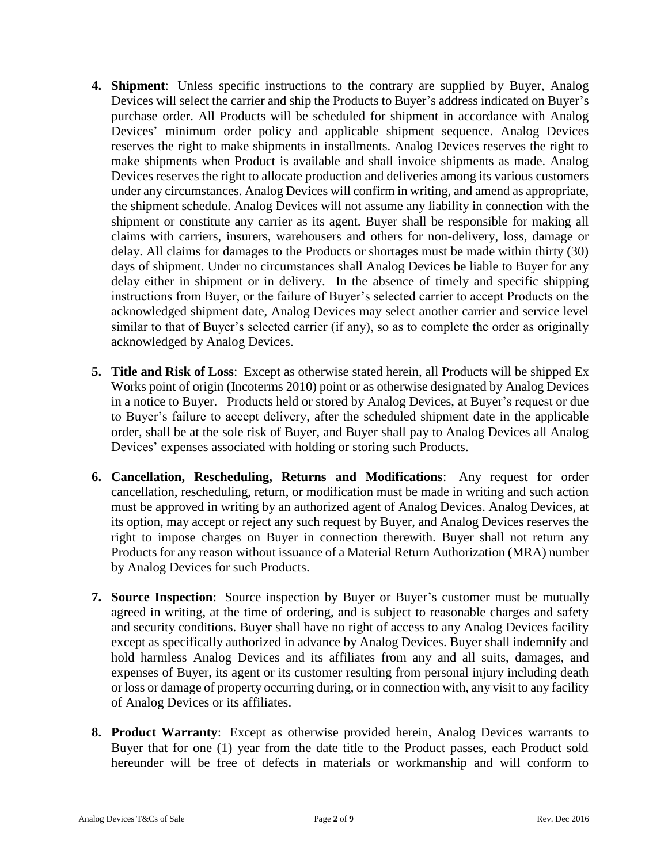- **4. Shipment**: Unless specific instructions to the contrary are supplied by Buyer, Analog Devices will select the carrier and ship the Products to Buyer's address indicated on Buyer's purchase order. All Products will be scheduled for shipment in accordance with Analog Devices' minimum order policy and applicable shipment sequence. Analog Devices reserves the right to make shipments in installments. Analog Devices reserves the right to make shipments when Product is available and shall invoice shipments as made. Analog Devices reserves the right to allocate production and deliveries among its various customers under any circumstances. Analog Devices will confirm in writing, and amend as appropriate, the shipment schedule. Analog Devices will not assume any liability in connection with the shipment or constitute any carrier as its agent. Buyer shall be responsible for making all claims with carriers, insurers, warehousers and others for non-delivery, loss, damage or delay. All claims for damages to the Products or shortages must be made within thirty (30) days of shipment. Under no circumstances shall Analog Devices be liable to Buyer for any delay either in shipment or in delivery. In the absence of timely and specific shipping instructions from Buyer, or the failure of Buyer's selected carrier to accept Products on the acknowledged shipment date, Analog Devices may select another carrier and service level similar to that of Buyer's selected carrier (if any), so as to complete the order as originally acknowledged by Analog Devices.
- **5. Title and Risk of Loss**: Except as otherwise stated herein, all Products will be shipped Ex Works point of origin (Incoterms 2010) point or as otherwise designated by Analog Devices in a notice to Buyer. Products held or stored by Analog Devices, at Buyer's request or due to Buyer's failure to accept delivery, after the scheduled shipment date in the applicable order, shall be at the sole risk of Buyer, and Buyer shall pay to Analog Devices all Analog Devices' expenses associated with holding or storing such Products.
- **6. Cancellation, Rescheduling, Returns and Modifications**: Any request for order cancellation, rescheduling, return, or modification must be made in writing and such action must be approved in writing by an authorized agent of Analog Devices. Analog Devices, at its option, may accept or reject any such request by Buyer, and Analog Devices reserves the right to impose charges on Buyer in connection therewith. Buyer shall not return any Products for any reason without issuance of a Material Return Authorization (MRA) number by Analog Devices for such Products.
- **7. Source Inspection**: Source inspection by Buyer or Buyer's customer must be mutually agreed in writing, at the time of ordering, and is subject to reasonable charges and safety and security conditions. Buyer shall have no right of access to any Analog Devices facility except as specifically authorized in advance by Analog Devices. Buyer shall indemnify and hold harmless Analog Devices and its affiliates from any and all suits, damages, and expenses of Buyer, its agent or its customer resulting from personal injury including death or loss or damage of property occurring during, or in connection with, any visit to any facility of Analog Devices or its affiliates.
- **8. Product Warranty**: Except as otherwise provided herein, Analog Devices warrants to Buyer that for one (1) year from the date title to the Product passes, each Product sold hereunder will be free of defects in materials or workmanship and will conform to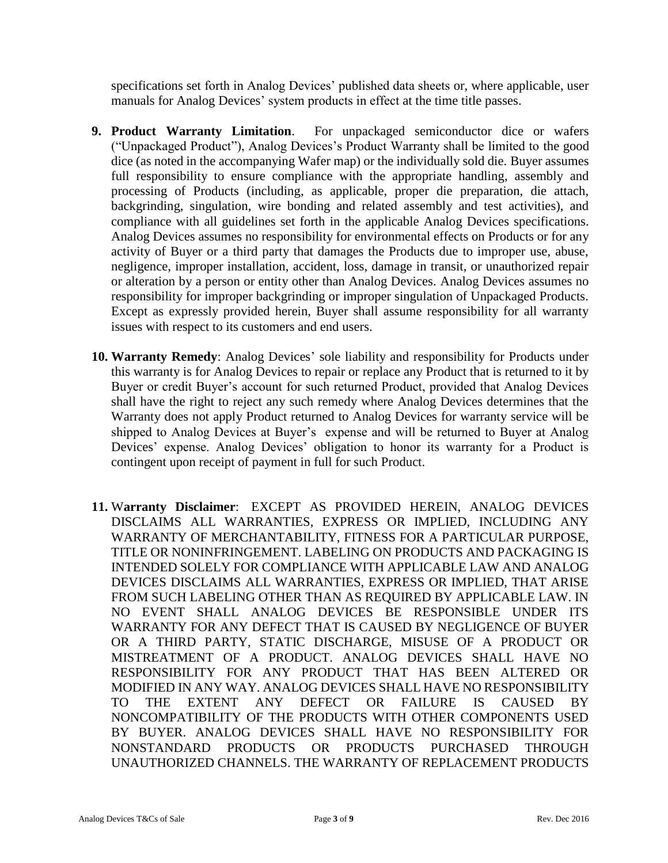specifications set forth in Analog Devices' published data sheets or, where applicable, user manuals for Analog Devices' system products in effect at the time title passes.

- **9. Product Warranty Limitation**. For unpackaged semiconductor dice or wafers ("Unpackaged Product"), Analog Devices's Product Warranty shall be limited to the good dice (as noted in the accompanying Wafer map) or the individually sold die. Buyer assumes full responsibility to ensure compliance with the appropriate handling, assembly and processing of Products (including, as applicable, proper die preparation, die attach, backgrinding, singulation, wire bonding and related assembly and test activities), and compliance with all guidelines set forth in the applicable Analog Devices specifications. Analog Devices assumes no responsibility for environmental effects on Products or for any activity of Buyer or a third party that damages the Products due to improper use, abuse, negligence, improper installation, accident, loss, damage in transit, or unauthorized repair or alteration by a person or entity other than Analog Devices. Analog Devices assumes no responsibility for improper backgrinding or improper singulation of Unpackaged Products. Except as expressly provided herein, Buyer shall assume responsibility for all warranty issues with respect to its customers and end users.
- **10. Warranty Remedy**: Analog Devices' sole liability and responsibility for Products under this warranty is for Analog Devices to repair or replace any Product that is returned to it by Buyer or credit Buyer's account for such returned Product, provided that Analog Devices shall have the right to reject any such remedy where Analog Devices determines that the Warranty does not apply Product returned to Analog Devices for warranty service will be shipped to Analog Devices at Buyer's expense and will be returned to Buyer at Analog Devices' expense. Analog Devices' obligation to honor its warranty for a Product is contingent upon receipt of payment in full for such Product.
- **11.** W**arranty Disclaimer**: EXCEPT AS PROVIDED HEREIN, ANALOG DEVICES DISCLAIMS ALL WARRANTIES, EXPRESS OR IMPLIED, INCLUDING ANY WARRANTY OF MERCHANTABILITY, FITNESS FOR A PARTICULAR PURPOSE, TITLE OR NONINFRINGEMENT. LABELING ON PRODUCTS AND PACKAGING IS INTENDED SOLELY FOR COMPLIANCE WITH APPLICABLE LAW AND ANALOG DEVICES DISCLAIMS ALL WARRANTIES, EXPRESS OR IMPLIED, THAT ARISE FROM SUCH LABELING OTHER THAN AS REQUIRED BY APPLICABLE LAW. IN NO EVENT SHALL ANALOG DEVICES BE RESPONSIBLE UNDER ITS WARRANTY FOR ANY DEFECT THAT IS CAUSED BY NEGLIGENCE OF BUYER OR A THIRD PARTY, STATIC DISCHARGE, MISUSE OF A PRODUCT OR MISTREATMENT OF A PRODUCT. ANALOG DEVICES SHALL HAVE NO RESPONSIBILITY FOR ANY PRODUCT THAT HAS BEEN ALTERED OR MODIFIED IN ANY WAY. ANALOG DEVICES SHALL HAVE NO RESPONSIBILITY TO THE EXTENT ANY DEFECT OR FAILURE IS CAUSED BY NONCOMPATIBILITY OF THE PRODUCTS WITH OTHER COMPONENTS USED BY BUYER. ANALOG DEVICES SHALL HAVE NO RESPONSIBILITY FOR NONSTANDARD PRODUCTS OR PRODUCTS PURCHASED THROUGH UNAUTHORIZED CHANNELS. THE WARRANTY OF REPLACEMENT PRODUCTS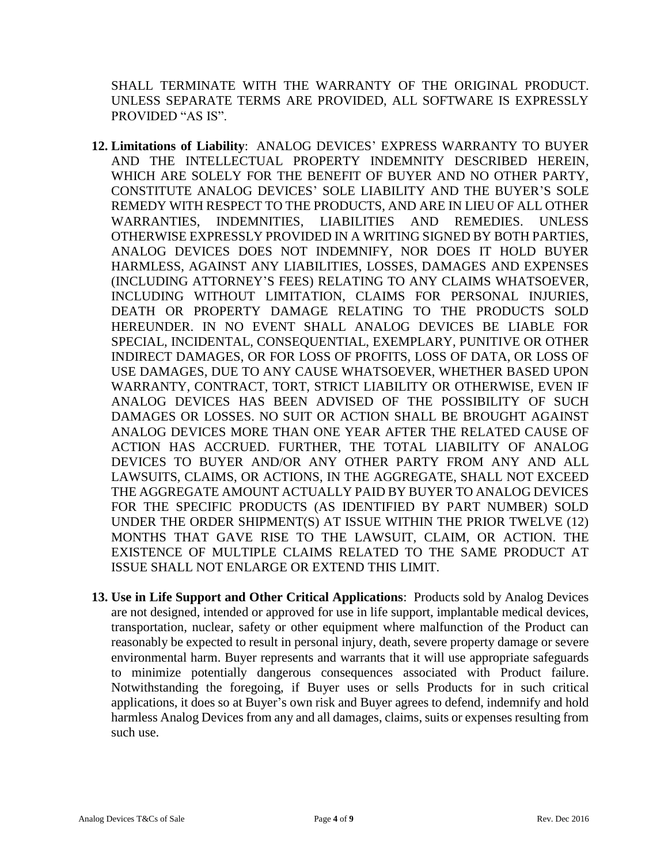SHALL TERMINATE WITH THE WARRANTY OF THE ORIGINAL PRODUCT. UNLESS SEPARATE TERMS ARE PROVIDED, ALL SOFTWARE IS EXPRESSLY PROVIDED "AS IS".

- **12. Limitations of Liability**: ANALOG DEVICES' EXPRESS WARRANTY TO BUYER AND THE INTELLECTUAL PROPERTY INDEMNITY DESCRIBED HEREIN, WHICH ARE SOLELY FOR THE BENEFIT OF BUYER AND NO OTHER PARTY, CONSTITUTE ANALOG DEVICES' SOLE LIABILITY AND THE BUYER'S SOLE REMEDY WITH RESPECT TO THE PRODUCTS, AND ARE IN LIEU OF ALL OTHER WARRANTIES, INDEMNITIES, LIABILITIES AND REMEDIES. UNLESS OTHERWISE EXPRESSLY PROVIDED IN A WRITING SIGNED BY BOTH PARTIES, ANALOG DEVICES DOES NOT INDEMNIFY, NOR DOES IT HOLD BUYER HARMLESS, AGAINST ANY LIABILITIES, LOSSES, DAMAGES AND EXPENSES (INCLUDING ATTORNEY'S FEES) RELATING TO ANY CLAIMS WHATSOEVER, INCLUDING WITHOUT LIMITATION, CLAIMS FOR PERSONAL INJURIES, DEATH OR PROPERTY DAMAGE RELATING TO THE PRODUCTS SOLD HEREUNDER. IN NO EVENT SHALL ANALOG DEVICES BE LIABLE FOR SPECIAL, INCIDENTAL, CONSEQUENTIAL, EXEMPLARY, PUNITIVE OR OTHER INDIRECT DAMAGES, OR FOR LOSS OF PROFITS, LOSS OF DATA, OR LOSS OF USE DAMAGES, DUE TO ANY CAUSE WHATSOEVER, WHETHER BASED UPON WARRANTY, CONTRACT, TORT, STRICT LIABILITY OR OTHERWISE, EVEN IF ANALOG DEVICES HAS BEEN ADVISED OF THE POSSIBILITY OF SUCH DAMAGES OR LOSSES. NO SUIT OR ACTION SHALL BE BROUGHT AGAINST ANALOG DEVICES MORE THAN ONE YEAR AFTER THE RELATED CAUSE OF ACTION HAS ACCRUED. FURTHER, THE TOTAL LIABILITY OF ANALOG DEVICES TO BUYER AND/OR ANY OTHER PARTY FROM ANY AND ALL LAWSUITS, CLAIMS, OR ACTIONS, IN THE AGGREGATE, SHALL NOT EXCEED THE AGGREGATE AMOUNT ACTUALLY PAID BY BUYER TO ANALOG DEVICES FOR THE SPECIFIC PRODUCTS (AS IDENTIFIED BY PART NUMBER) SOLD UNDER THE ORDER SHIPMENT(S) AT ISSUE WITHIN THE PRIOR TWELVE (12) MONTHS THAT GAVE RISE TO THE LAWSUIT, CLAIM, OR ACTION. THE EXISTENCE OF MULTIPLE CLAIMS RELATED TO THE SAME PRODUCT AT ISSUE SHALL NOT ENLARGE OR EXTEND THIS LIMIT.
- **13. Use in Life Support and Other Critical Applications**: Products sold by Analog Devices are not designed, intended or approved for use in life support, implantable medical devices, transportation, nuclear, safety or other equipment where malfunction of the Product can reasonably be expected to result in personal injury, death, severe property damage or severe environmental harm. Buyer represents and warrants that it will use appropriate safeguards to minimize potentially dangerous consequences associated with Product failure. Notwithstanding the foregoing, if Buyer uses or sells Products for in such critical applications, it does so at Buyer's own risk and Buyer agrees to defend, indemnify and hold harmless Analog Devices from any and all damages, claims, suits or expenses resulting from such use.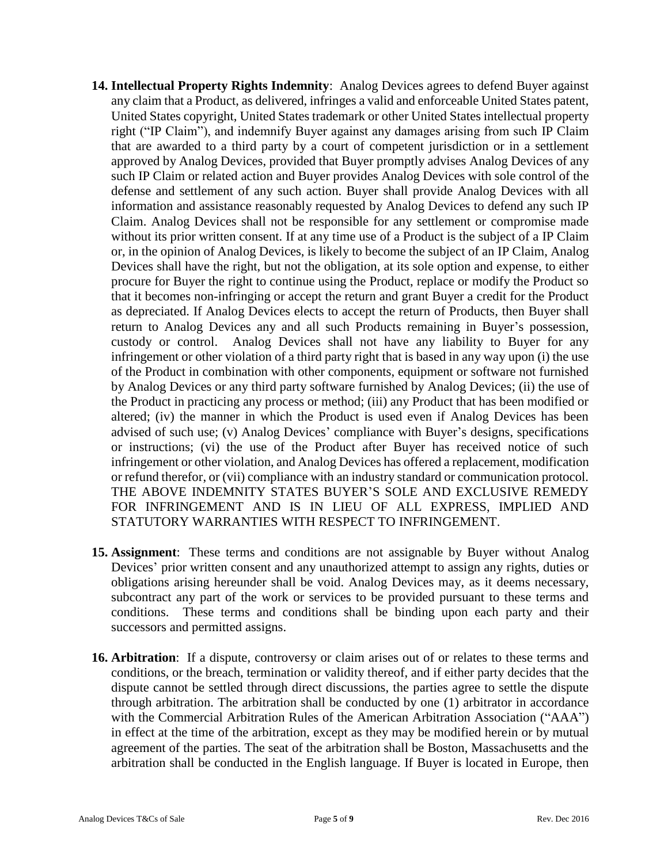- **14. Intellectual Property Rights Indemnity**: Analog Devices agrees to defend Buyer against any claim that a Product, as delivered, infringes a valid and enforceable United States patent, United States copyright, United States trademark or other United States intellectual property right ("IP Claim"), and indemnify Buyer against any damages arising from such IP Claim that are awarded to a third party by a court of competent jurisdiction or in a settlement approved by Analog Devices, provided that Buyer promptly advises Analog Devices of any such IP Claim or related action and Buyer provides Analog Devices with sole control of the defense and settlement of any such action. Buyer shall provide Analog Devices with all information and assistance reasonably requested by Analog Devices to defend any such IP Claim. Analog Devices shall not be responsible for any settlement or compromise made without its prior written consent. If at any time use of a Product is the subject of a IP Claim or, in the opinion of Analog Devices, is likely to become the subject of an IP Claim, Analog Devices shall have the right, but not the obligation, at its sole option and expense, to either procure for Buyer the right to continue using the Product, replace or modify the Product so that it becomes non-infringing or accept the return and grant Buyer a credit for the Product as depreciated. If Analog Devices elects to accept the return of Products, then Buyer shall return to Analog Devices any and all such Products remaining in Buyer's possession, custody or control. Analog Devices shall not have any liability to Buyer for any infringement or other violation of a third party right that is based in any way upon (i) the use of the Product in combination with other components, equipment or software not furnished by Analog Devices or any third party software furnished by Analog Devices; (ii) the use of the Product in practicing any process or method; (iii) any Product that has been modified or altered; (iv) the manner in which the Product is used even if Analog Devices has been advised of such use; (v) Analog Devices' compliance with Buyer's designs, specifications or instructions; (vi) the use of the Product after Buyer has received notice of such infringement or other violation, and Analog Devices has offered a replacement, modification or refund therefor, or (vii) compliance with an industry standard or communication protocol. THE ABOVE INDEMNITY STATES BUYER'S SOLE AND EXCLUSIVE REMEDY FOR INFRINGEMENT AND IS IN LIEU OF ALL EXPRESS, IMPLIED AND STATUTORY WARRANTIES WITH RESPECT TO INFRINGEMENT.
- **15. Assignment**: These terms and conditions are not assignable by Buyer without Analog Devices' prior written consent and any unauthorized attempt to assign any rights, duties or obligations arising hereunder shall be void. Analog Devices may, as it deems necessary, subcontract any part of the work or services to be provided pursuant to these terms and conditions. These terms and conditions shall be binding upon each party and their successors and permitted assigns.
- **16. Arbitration**: If a dispute, controversy or claim arises out of or relates to these terms and conditions, or the breach, termination or validity thereof, and if either party decides that the dispute cannot be settled through direct discussions, the parties agree to settle the dispute through arbitration. The arbitration shall be conducted by one (1) arbitrator in accordance with the Commercial Arbitration Rules of the American Arbitration Association ("AAA") in effect at the time of the arbitration, except as they may be modified herein or by mutual agreement of the parties. The seat of the arbitration shall be Boston, Massachusetts and the arbitration shall be conducted in the English language. If Buyer is located in Europe, then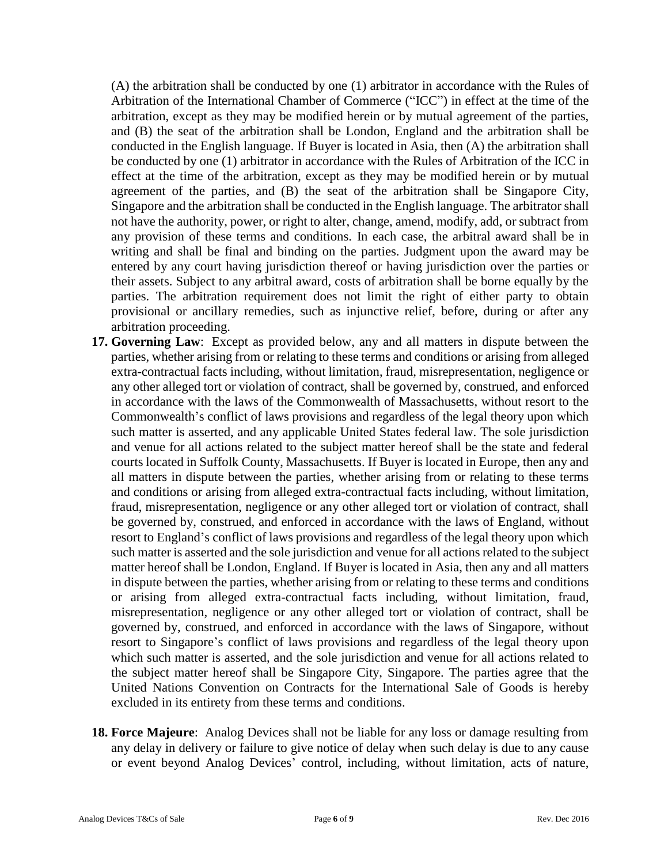(A) the arbitration shall be conducted by one (1) arbitrator in accordance with the Rules of Arbitration of the International Chamber of Commerce ("ICC") in effect at the time of the arbitration, except as they may be modified herein or by mutual agreement of the parties, and (B) the seat of the arbitration shall be London, England and the arbitration shall be conducted in the English language. If Buyer is located in Asia, then (A) the arbitration shall be conducted by one (1) arbitrator in accordance with the Rules of Arbitration of the ICC in effect at the time of the arbitration, except as they may be modified herein or by mutual agreement of the parties, and (B) the seat of the arbitration shall be Singapore City, Singapore and the arbitration shall be conducted in the English language. The arbitrator shall not have the authority, power, or right to alter, change, amend, modify, add, or subtract from any provision of these terms and conditions. In each case, the arbitral award shall be in writing and shall be final and binding on the parties. Judgment upon the award may be entered by any court having jurisdiction thereof or having jurisdiction over the parties or their assets. Subject to any arbitral award, costs of arbitration shall be borne equally by the parties. The arbitration requirement does not limit the right of either party to obtain provisional or ancillary remedies, such as injunctive relief, before, during or after any arbitration proceeding.

- **17. Governing Law**: Except as provided below, any and all matters in dispute between the parties, whether arising from or relating to these terms and conditions or arising from alleged extra-contractual facts including, without limitation, fraud, misrepresentation, negligence or any other alleged tort or violation of contract, shall be governed by, construed, and enforced in accordance with the laws of the Commonwealth of Massachusetts, without resort to the Commonwealth's conflict of laws provisions and regardless of the legal theory upon which such matter is asserted, and any applicable United States federal law. The sole jurisdiction and venue for all actions related to the subject matter hereof shall be the state and federal courts located in Suffolk County, Massachusetts. If Buyer is located in Europe, then any and all matters in dispute between the parties, whether arising from or relating to these terms and conditions or arising from alleged extra-contractual facts including, without limitation, fraud, misrepresentation, negligence or any other alleged tort or violation of contract, shall be governed by, construed, and enforced in accordance with the laws of England, without resort to England's conflict of laws provisions and regardless of the legal theory upon which such matter is asserted and the sole jurisdiction and venue for all actions related to the subject matter hereof shall be London, England. If Buyer is located in Asia, then any and all matters in dispute between the parties, whether arising from or relating to these terms and conditions or arising from alleged extra-contractual facts including, without limitation, fraud, misrepresentation, negligence or any other alleged tort or violation of contract, shall be governed by, construed, and enforced in accordance with the laws of Singapore, without resort to Singapore's conflict of laws provisions and regardless of the legal theory upon which such matter is asserted, and the sole jurisdiction and venue for all actions related to the subject matter hereof shall be Singapore City, Singapore. The parties agree that the United Nations Convention on Contracts for the International Sale of Goods is hereby excluded in its entirety from these terms and conditions.
- **18. Force Majeure**: Analog Devices shall not be liable for any loss or damage resulting from any delay in delivery or failure to give notice of delay when such delay is due to any cause or event beyond Analog Devices' control, including, without limitation, acts of nature,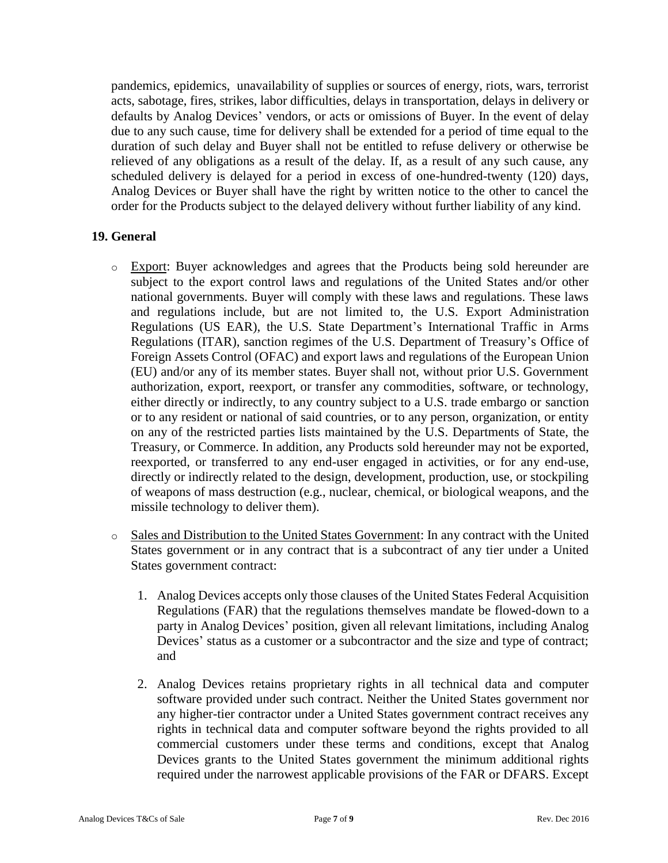pandemics, epidemics, unavailability of supplies or sources of energy, riots, wars, terrorist acts, sabotage, fires, strikes, labor difficulties, delays in transportation, delays in delivery or defaults by Analog Devices' vendors, or acts or omissions of Buyer. In the event of delay due to any such cause, time for delivery shall be extended for a period of time equal to the duration of such delay and Buyer shall not be entitled to refuse delivery or otherwise be relieved of any obligations as a result of the delay. If, as a result of any such cause, any scheduled delivery is delayed for a period in excess of one-hundred-twenty (120) days, Analog Devices or Buyer shall have the right by written notice to the other to cancel the order for the Products subject to the delayed delivery without further liability of any kind.

## **19. General**

- o Export: Buyer acknowledges and agrees that the Products being sold hereunder are subject to the export control laws and regulations of the United States and/or other national governments. Buyer will comply with these laws and regulations. These laws and regulations include, but are not limited to, the U.S. Export Administration Regulations (US EAR), the U.S. State Department's International Traffic in Arms Regulations (ITAR), sanction regimes of the U.S. Department of Treasury's Office of Foreign Assets Control (OFAC) and export laws and regulations of the European Union (EU) and/or any of its member states. Buyer shall not, without prior U.S. Government authorization, export, reexport, or transfer any commodities, software, or technology, either directly or indirectly, to any country subject to a U.S. trade embargo or sanction or to any resident or national of said countries, or to any person, organization, or entity on any of the restricted parties lists maintained by the U.S. Departments of State, the Treasury, or Commerce. In addition, any Products sold hereunder may not be exported, reexported, or transferred to any end-user engaged in activities, or for any end-use, directly or indirectly related to the design, development, production, use, or stockpiling of weapons of mass destruction (e.g., nuclear, chemical, or biological weapons, and the missile technology to deliver them).
- o Sales and Distribution to the United States Government: In any contract with the United States government or in any contract that is a subcontract of any tier under a United States government contract:
	- 1. Analog Devices accepts only those clauses of the United States Federal Acquisition Regulations (FAR) that the regulations themselves mandate be flowed-down to a party in Analog Devices' position, given all relevant limitations, including Analog Devices' status as a customer or a subcontractor and the size and type of contract; and
	- 2. Analog Devices retains proprietary rights in all technical data and computer software provided under such contract. Neither the United States government nor any higher-tier contractor under a United States government contract receives any rights in technical data and computer software beyond the rights provided to all commercial customers under these terms and conditions, except that Analog Devices grants to the United States government the minimum additional rights required under the narrowest applicable provisions of the FAR or DFARS. Except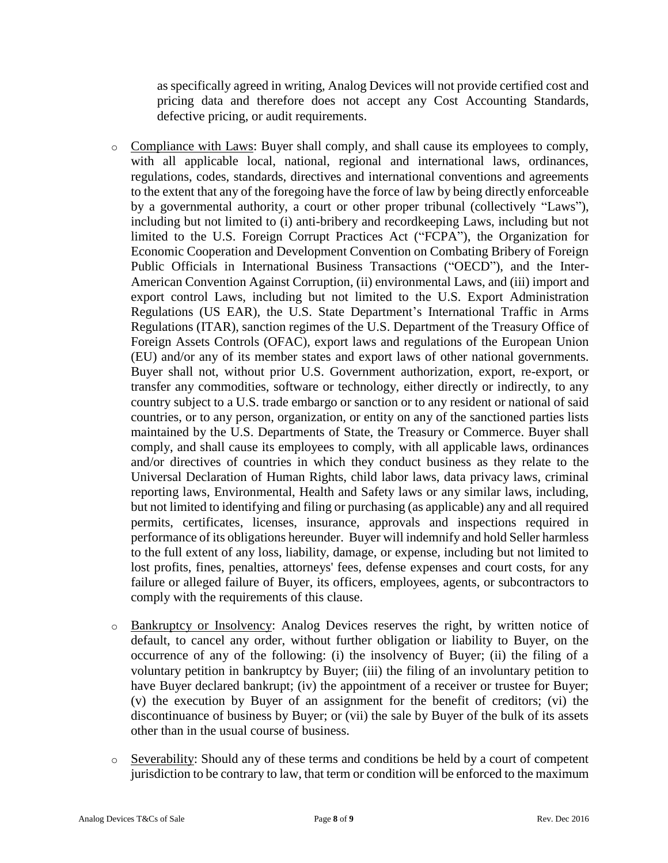as specifically agreed in writing, Analog Devices will not provide certified cost and pricing data and therefore does not accept any Cost Accounting Standards, defective pricing, or audit requirements.

- o Compliance with Laws: Buyer shall comply, and shall cause its employees to comply, with all applicable local, national, regional and international laws, ordinances, regulations, codes, standards, directives and international conventions and agreements to the extent that any of the foregoing have the force of law by being directly enforceable by a governmental authority, a court or other proper tribunal (collectively "Laws"), including but not limited to (i) anti-bribery and recordkeeping Laws, including but not limited to the U.S. Foreign Corrupt Practices Act ("FCPA"), the Organization for Economic Cooperation and Development Convention on Combating Bribery of Foreign Public Officials in International Business Transactions ("OECD"), and the Inter-American Convention Against Corruption, (ii) environmental Laws, and (iii) import and export control Laws, including but not limited to the U.S. Export Administration Regulations (US EAR), the U.S. State Department's International Traffic in Arms Regulations (ITAR), sanction regimes of the U.S. Department of the Treasury Office of Foreign Assets Controls (OFAC), export laws and regulations of the European Union (EU) and/or any of its member states and export laws of other national governments. Buyer shall not, without prior U.S. Government authorization, export, re-export, or transfer any commodities, software or technology, either directly or indirectly, to any country subject to a U.S. trade embargo or sanction or to any resident or national of said countries, or to any person, organization, or entity on any of the sanctioned parties lists maintained by the U.S. Departments of State, the Treasury or Commerce. Buyer shall comply, and shall cause its employees to comply, with all applicable laws, ordinances and/or directives of countries in which they conduct business as they relate to the Universal Declaration of Human Rights, child labor laws, data privacy laws, criminal reporting laws, Environmental, Health and Safety laws or any similar laws, including, but not limited to identifying and filing or purchasing (as applicable) any and all required permits, certificates, licenses, insurance, approvals and inspections required in performance of its obligations hereunder. Buyer will indemnify and hold Seller harmless to the full extent of any loss, liability, damage, or expense, including but not limited to lost profits, fines, penalties, attorneys' fees, defense expenses and court costs, for any failure or alleged failure of Buyer, its officers, employees, agents, or subcontractors to comply with the requirements of this clause.
- o Bankruptcy or Insolvency: Analog Devices reserves the right, by written notice of default, to cancel any order, without further obligation or liability to Buyer, on the occurrence of any of the following: (i) the insolvency of Buyer; (ii) the filing of a voluntary petition in bankruptcy by Buyer; (iii) the filing of an involuntary petition to have Buyer declared bankrupt; (iv) the appointment of a receiver or trustee for Buyer; (v) the execution by Buyer of an assignment for the benefit of creditors; (vi) the discontinuance of business by Buyer; or (vii) the sale by Buyer of the bulk of its assets other than in the usual course of business.
- $\circ$  Severability: Should any of these terms and conditions be held by a court of competent jurisdiction to be contrary to law, that term or condition will be enforced to the maximum